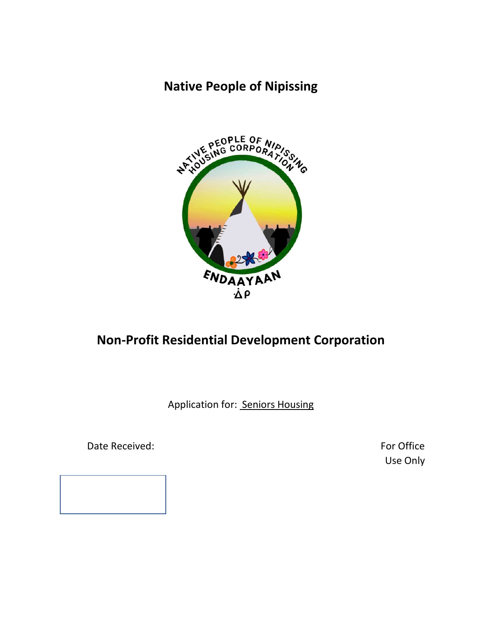## **Native People of Nipissing**



# **Non-Profit Residential Development Corporation**

Application for: Seniors Housing

Date Received: The Contract of the Contract of the Contract of True Contract of True Contract of True Contract of True Contract of True Contract of True Contract of True Contract of True Contract of True Contract of True C

Use Only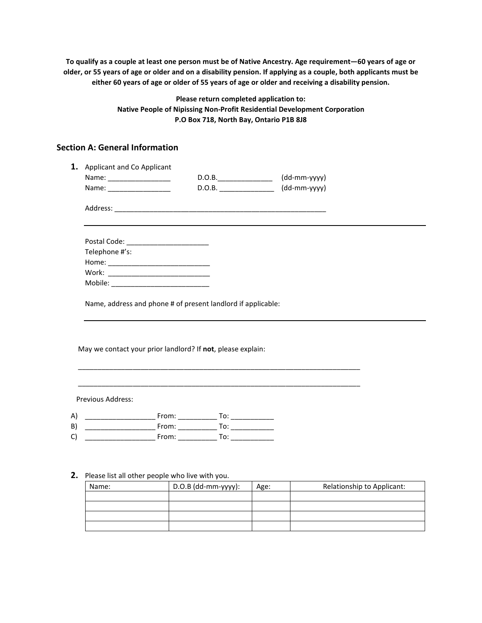**To qualify as a couple at least one person must be of Native Ancestry. Age requirement—60 years of age or older, or 55 years of age or older and on a disability pension. If applying as a couple, both applicants must be either 60 years of age or older of 55 years of age or older and receiving a disability pension.** 

> **Please return completed application to: Native People of Nipissing Non-Profit Residential Development Corporation P.O Box 718, North Bay, Ontario P1B 8J8**

### **Section A: General Information**

|                               | 1. Applicant and Co Applicant                                |        |              |  |
|-------------------------------|--------------------------------------------------------------|--------|--------------|--|
|                               | Name: __________________                                     | D.O.B. | (dd-mm-yyyy) |  |
|                               | Name: ____________________                                   |        | (dd-mm-yyyy) |  |
|                               |                                                              |        |              |  |
|                               | Postal Code: ____________________________                    |        |              |  |
| Telephone #'s:                |                                                              |        |              |  |
|                               |                                                              |        |              |  |
|                               |                                                              |        |              |  |
|                               |                                                              |        |              |  |
|                               | Name, address and phone # of present landlord if applicable: |        |              |  |
|                               | May we contact your prior landlord? If not, please explain:  |        |              |  |
|                               |                                                              |        |              |  |
|                               |                                                              |        |              |  |
| Previous Address:<br>A)<br>B) |                                                              |        |              |  |

#### **2.** Please list all other people who live with you.

| Name: | D.O.B (dd-mm-yyyy): | Age: | Relationship to Applicant: |
|-------|---------------------|------|----------------------------|
|       |                     |      |                            |
|       |                     |      |                            |
|       |                     |      |                            |
|       |                     |      |                            |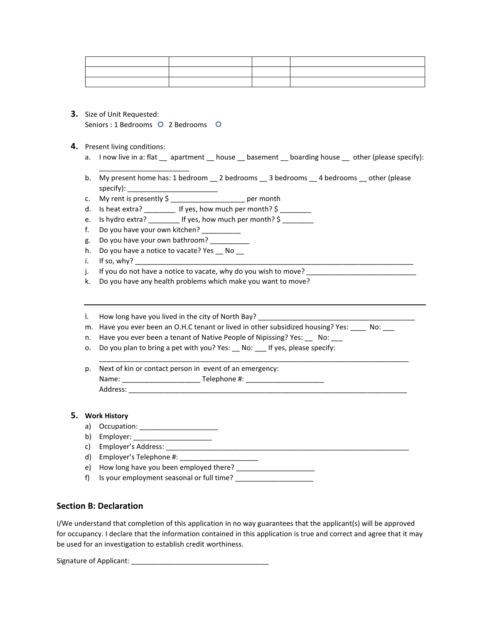| <u> 1989 - Jan Alexandro III, prima prima prima prima prima prima prima prima prima prima prima prima prima prim</u> |  |  |
|----------------------------------------------------------------------------------------------------------------------|--|--|
| the contract of the contract of the                                                                                  |  |  |
|                                                                                                                      |  |  |

**3.** Size of Unit Requested: Seniors : 1 Bedrooms O 2 Bedrooms O

\_\_\_\_\_\_\_\_\_\_\_\_\_\_\_\_\_\_\_\_\_\_\_

- **4.** Present living conditions:
	- a. I now live in a: flat \_\_ apartment \_\_ house \_\_ basement \_\_ boarding house \_\_ other (please specify):
	- b. My present home has: 1 bedroom \_\_ 2 bedrooms \_\_ 3 bedrooms \_\_ 4 bedrooms \_\_ other (please specify): \_\_\_\_\_\_\_\_\_\_\_\_\_\_\_\_\_\_\_\_\_\_\_
	- c. My rent is presently \$ \_\_\_\_\_\_\_\_\_\_\_\_\_\_\_\_\_\_\_ per month
	- d. Is heat extra? \_\_\_\_\_\_\_\_ If yes, how much per month?  $\sim$
	- e. Is hydro extra?  $\qquad \qquad$  If yes, how much per month?  $\zeta$
	- f. Do you have your own kitchen?
	- g. Do you have your own bathroom?
	- h. Do you have a notice to vacate? Yes \_\_ No \_\_
	- $i.$  If so, why?
	- j. If you do not have a notice to vacate, why do you wish to move?
	- k. Do you have any health problems which make you want to move?
	- l. How long have you lived in the city of North Bay?
	- m. Have you ever been an O.H.C tenant or lived in other subsidized housing? Yes: \_\_\_\_ No: \_\_\_

\_\_\_\_\_\_\_\_\_\_\_\_\_\_\_\_\_\_\_\_\_\_\_\_\_\_\_\_\_\_\_\_\_\_\_\_\_\_\_\_\_\_\_\_\_\_\_\_\_\_\_\_\_\_\_\_\_\_\_\_\_\_\_\_\_\_\_\_\_\_\_\_\_\_\_\_\_\_\_

- n. Have you ever been a tenant of Native People of Nipissing? Yes: No:
- o. Do you plan to bring a pet with you? Yes: \_\_ No: \_\_ If yes, please specify:
- p. Next of kin or contact person in event of an emergency: Name: \_\_\_\_\_\_\_\_\_\_\_\_\_\_\_\_\_\_\_\_ Telephone #: \_\_\_\_\_\_\_\_\_\_\_\_\_\_\_\_\_\_\_\_ Address: \_\_\_\_\_\_\_\_\_\_\_\_\_\_\_\_\_\_\_\_\_\_\_\_\_\_\_\_\_\_\_\_\_\_\_\_\_\_\_\_\_\_\_\_\_\_\_\_\_\_\_\_\_\_\_\_\_\_\_\_\_\_\_\_\_\_\_\_\_\_\_

#### **5. Work History**

- a) Occupation: \_\_\_\_\_\_\_\_\_\_\_\_\_\_\_\_\_\_\_\_
- b) Employer: \_\_\_\_\_\_\_\_\_\_\_\_\_\_\_\_\_\_\_\_
- c) Employer's Address: \_\_\_\_\_\_\_\_\_\_\_\_\_\_\_\_\_\_\_\_\_\_\_\_\_\_\_\_\_\_\_\_\_\_\_\_\_\_\_\_\_\_\_\_\_\_\_\_\_\_\_\_\_\_\_\_\_\_\_\_\_\_
- d) Employer's Telephone #: \_\_\_\_\_\_\_\_\_\_\_\_\_\_\_\_\_\_\_\_
- e) How long have you been employed there? \_\_\_\_\_\_\_\_\_\_\_\_\_\_\_\_\_\_\_\_
- f) Is your employment seasonal or full time?

#### **Section B: Declaration**

I/We understand that completion of this application in no way guarantees that the applicant(s) will be approved for occupancy. I declare that the information contained in this application is true and correct and agree that it may be used for an investigation to establish credit worthiness.

Signature of Applicant: \_\_\_\_\_\_\_\_\_\_\_\_\_\_\_\_\_\_\_\_\_\_\_\_\_\_\_\_\_\_\_\_\_\_\_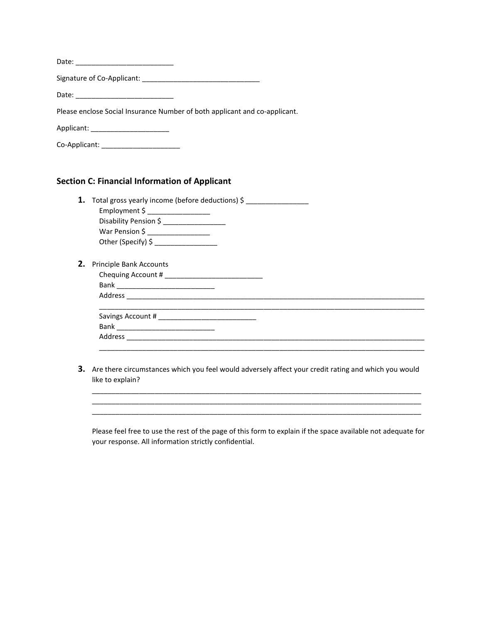| Please enclose Social Insurance Number of both applicant and co-applicant. |  |
|----------------------------------------------------------------------------|--|
| Applicant: ________________________                                        |  |
| Co-Applicant: _______________________                                      |  |

#### **Section C: Financial Information of Applicant**

|    | <b>1.</b> Total gross yearly income (before deductions) $\zeta$ |
|----|-----------------------------------------------------------------|
|    |                                                                 |
|    | Disability Pension \$                                           |
|    | War Pension \$ ___________________                              |
|    | Other (Specify) \$ ____________________                         |
| 2. | <b>Principle Bank Accounts</b>                                  |
|    |                                                                 |
|    |                                                                 |
|    |                                                                 |
|    |                                                                 |
|    |                                                                 |
|    |                                                                 |
|    |                                                                 |

**3.** Are there circumstances which you feel would adversely affect your credit rating and which you would like to explain?

\_\_\_\_\_\_\_\_\_\_\_\_\_\_\_\_\_\_\_\_\_\_\_\_\_\_\_\_\_\_\_\_\_\_\_\_\_\_\_\_\_\_\_\_\_\_\_\_\_\_\_\_\_\_\_\_\_\_\_\_\_\_\_\_\_\_\_\_\_\_\_\_\_\_\_\_\_\_\_\_\_\_\_\_ \_\_\_\_\_\_\_\_\_\_\_\_\_\_\_\_\_\_\_\_\_\_\_\_\_\_\_\_\_\_\_\_\_\_\_\_\_\_\_\_\_\_\_\_\_\_\_\_\_\_\_\_\_\_\_\_\_\_\_\_\_\_\_\_\_\_\_\_\_\_\_\_\_\_\_\_\_\_\_\_\_\_\_\_ \_\_\_\_\_\_\_\_\_\_\_\_\_\_\_\_\_\_\_\_\_\_\_\_\_\_\_\_\_\_\_\_\_\_\_\_\_\_\_\_\_\_\_\_\_\_\_\_\_\_\_\_\_\_\_\_\_\_\_\_\_\_\_\_\_\_\_\_\_\_\_\_\_\_\_\_\_\_\_\_\_\_\_\_

Please feel free to use the rest of the page of this form to explain if the space available not adequate for your response. All information strictly confidential.